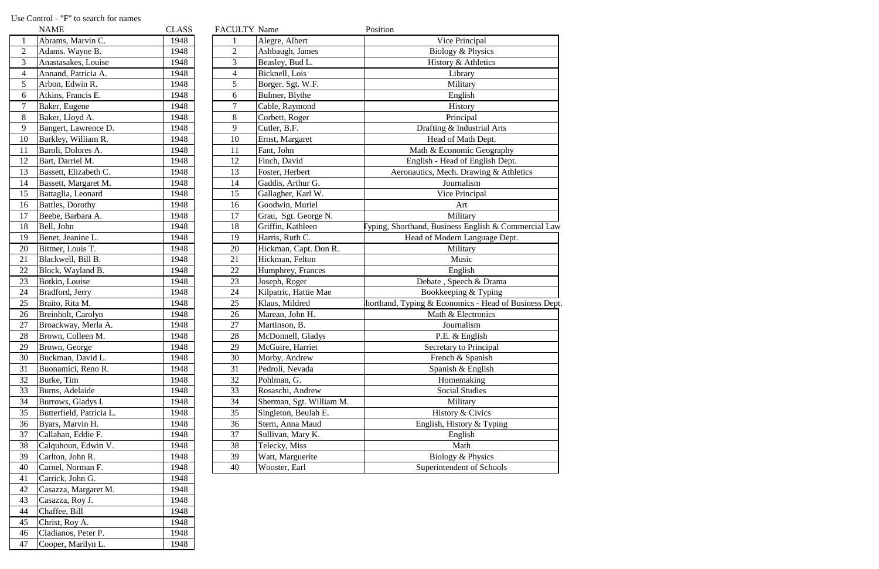|                | <b>NAME</b>              | <b>CLASS</b> | FACULTY Name   |                          | Position                                              |
|----------------|--------------------------|--------------|----------------|--------------------------|-------------------------------------------------------|
| $\mathbf{1}$   | Abrams, Marvin C.        | 1948         |                | Alegre, Albert           | Vice Principal                                        |
| $\overline{2}$ | Adams. Wayne B.          | 1948         | $\overline{2}$ | Ashbaugh, James          | Biology & Physics                                     |
| 3              | Anastasakes, Louise      | 1948         | 3              | Beasley, Bud L.          | History & Athletics                                   |
| $\overline{4}$ | Annand, Patricia A.      | 1948         | 4              | Bicknell, Lois           | Library                                               |
| 5              | Arbon, Edwin R.          | 1948         | 5              | Borger. Sgt. W.F.        | Military                                              |
| 6              | Atkins, Francis E.       | 1948         | 6              | Bulmer, Blythe           | English                                               |
| $\overline{7}$ | Baker, Eugene            | 1948         | 7              | Cable, Raymond           | History                                               |
| 8              | Baker, Lloyd A.          | 1948         | 8              | Corbett, Roger           | Principal                                             |
| 9              | Bangert, Lawrence D.     | 1948         | 9              | Cutler, B.F.             | Drafting & Industrial Arts                            |
| 10             | Barkley, William R.      | 1948         | 10             | Ernst, Margaret          | Head of Math Dept.                                    |
| 11             | Baroli, Dolores A.       | 1948         | 11             | Fant, John               | Math & Economic Geography                             |
| 12             | Bart, Darriel M.         | 1948         | 12             | Finch, David             | English - Head of English Dept.                       |
| 13             | Bassett, Elizabeth C.    | 1948         | 13             | Foster, Herbert          | Aeronautics, Mech. Drawing & Athletics                |
| 14             | Bassett, Margaret M.     | 1948         | 14             | Gaddis, Arthur G.        | Journalism                                            |
| 15             | Battaglia, Leonard       | 1948         | 15             | Gallagher, Karl W.       | Vice Principal                                        |
| 16             | Battles, Dorothy         | 1948         | 16             | Goodwin, Muriel          | Art                                                   |
| 17             | Beebe, Barbara A.        | 1948         | 17             | Grau, Sgt. George N.     | Military                                              |
| 18             | Bell, John               | 1948         | 18             | Griffin, Kathleen        | yping, Shorthand, Business English & Commercial Law   |
| 19             | Benet, Jeanine L.        | 1948         | 19             | Harris, Ruth C.          | Head of Modern Language Dept.                         |
| 20             | Bittner, Louis T.        | 1948         | 20             | Hickman, Capt. Don R.    | Military                                              |
| 21             | Blackwell, Bill B.       | 1948         | 21             | Hickman, Felton          | Music                                                 |
| 22             | Block, Wayland B.        | 1948         | 22             | Humphrey, Frances        | English                                               |
| 23             | Botkin, Louise           | 1948         | 23             | Joseph, Roger            | Debate, Speech & Drama                                |
| 24             | Bradford, Jerry          | 1948         | 24             | Kilpatric, Hattie Mae    | Bookkeeping & Typing                                  |
| 25             | Braito, Rita M.          | 1948         | 25             | Klaus, Mildred           | horthand, Typing & Economics - Head of Business Dept. |
| 26             | Breinholt, Carolyn       | 1948         | 26             | Marean, John H.          | Math & Electronics                                    |
| 27             | Broackway, Merla A.      | 1948         | 27             | Martinson, B.            | Journalism                                            |
| 28             | Brown, Colleen M.        | 1948         | 28             | McDonnell, Gladys        | P.E. & English                                        |
| 29             | Brown, George            | 1948         | 29             | McGuire, Harriet         | Secretary to Principal                                |
| 30             | Buckman, David L.        | 1948         | 30             | Morby, Andrew            | French & Spanish                                      |
| 31             | Buonamici, Reno R.       | 1948         | 31             | Pedroli, Nevada          | Spanish & English                                     |
| 32             | Burke, Tim               | 1948         | 32             | Pohlman, G.              | Homemaking                                            |
| 33             | Burns, Adelaide          | 1948         | 33             | Rosaschi, Andrew         | <b>Social Studies</b>                                 |
| 34             | Burrows, Gladys I.       | 1948         | 34             | Sherman, Sgt. William M. | Military                                              |
| 35             | Butterfield, Patricia L. | 1948         | 35             | Singleton, Beulah E.     | History & Civics                                      |
| 36             | Byars, Marvin H.         | 1948         | 36             | Stern, Anna Maud         | English, History & Typing                             |
| 37             | Callahan, Eddie F.       | 1948         | 37             | Sullivan, Mary K.        | English                                               |
| 38             | Calquhoun, Edwin V.      | 1948         | 38             | Telecky, Miss            | Math                                                  |
| 39             | Carlton, John R.         | 1948         | 39             | Watt, Marguerite         | Biology & Physics                                     |
| 40             | Carnel, Norman F.        | 1948         | 40             | Wooster, Earl            | Superintendent of Schools                             |

| $\mathbf{1}$<br>Abrams, Marvin C.<br>$\overline{2}$<br>Adams. Wayne B. | 1948 |
|------------------------------------------------------------------------|------|
|                                                                        |      |
|                                                                        | 1948 |
| 3<br>Anastasakes, Louise                                               | 1948 |
| $\overline{4}$<br>Annand, Patricia A.                                  | 1948 |
| 5<br>Arbon, Edwin R.                                                   | 1948 |
| 6<br>Atkins, Francis E.                                                | 1948 |
| $\overline{7}$<br>Baker, Eugene                                        | 1948 |
| 8<br>Baker, Lloyd A.                                                   | 1948 |
| 9<br>Bangert, Lawrence D.                                              | 1948 |
| 10<br>Barkley, William R.                                              | 1948 |
| 11<br>Baroli, Dolores A.                                               | 1948 |
| 12<br>Bart, Darriel M.                                                 | 1948 |
| 13<br>Bassett, Elizabeth C.                                            | 1948 |
| 14<br>Bassett, Margaret M.                                             | 1948 |
| 15<br>Battaglia, Leonard                                               | 1948 |
| Battles, Dorothy<br>16                                                 | 1948 |
| 17<br>Beebe, Barbara A.                                                | 1948 |
| 18<br>Bell, John                                                       | 1948 |
| Benet, Jeanine L.<br>19                                                | 1948 |
| Bittner, Louis T.<br>20                                                | 1948 |
| Blackwell, Bill B.<br>21                                               | 1948 |
| 22<br>Block, Wayland B.                                                | 1948 |
| 23<br>Botkin, Louise                                                   | 1948 |
| 24<br>Bradford, Jerry                                                  | 1948 |
| 25<br>Braito, Rita M.                                                  | 1948 |
| 26<br>Breinholt, Carolyn                                               | 1948 |
| 27<br>Broackway, Merla A.                                              | 1948 |
| 28<br>Brown, Colleen M.                                                | 1948 |
| 29<br>Brown, George                                                    | 1948 |
| 30<br>Buckman, David L.                                                | 1948 |
| 31<br>Buonamici, Reno R.                                               | 1948 |
| Burke, Tim<br>32                                                       | 1948 |
| Burns, Adelaide<br>33                                                  | 1948 |
| 34<br>Burrows, Gladys I.                                               | 1948 |
| Butterfield, Patricia L.<br>35                                         | 1948 |
| 36<br>Byars, Marvin H.                                                 | 1948 |
| 37<br>Callahan, Eddie F.                                               | 1948 |
| Calquhoun, Edwin V.<br>38                                              | 1948 |
| Carlton, John R.<br>39                                                 | 1948 |
| 40<br>Carnel, Norman F.                                                | 1948 |
| 41<br>Carrick, John G.                                                 | 1948 |
| 42<br>Casazza, Margaret M.                                             | 1948 |
| Casazza, Roy J.<br>43                                                  | 1948 |
| Chaffee, Bill<br>44                                                    | 1948 |
| 45<br>Christ, Roy A.                                                   | 1948 |
| Cladianos, Peter P.<br>46                                              | 1948 |
| 47<br>Cooper, Marilyn L.                                               | 1948 |

## Use Control - "F" to search for names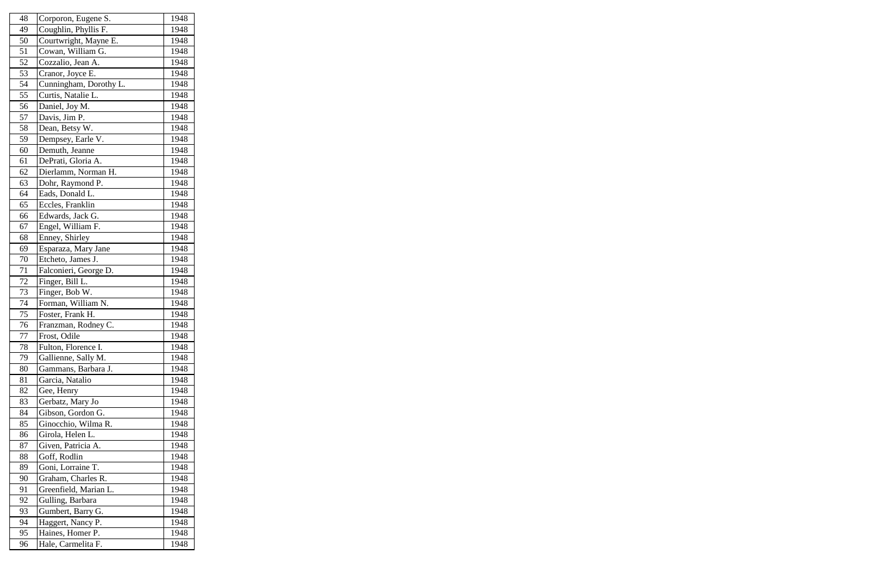| 48 | Corporon, Eugene S.    | 1948 |
|----|------------------------|------|
| 49 | Coughlin, Phyllis F.   | 1948 |
| 50 | Courtwright, Mayne E.  | 1948 |
| 51 | Cowan, William G.      | 1948 |
| 52 | Cozzalio, Jean A.      | 1948 |
| 53 | Cranor, Joyce E.       | 1948 |
| 54 | Cunningham, Dorothy L. | 1948 |
| 55 | Curtis, Natalie L.     | 1948 |
| 56 | Daniel, Joy M.         | 1948 |
| 57 | Davis, Jim P.          | 1948 |
| 58 | Dean, Betsy W.         | 1948 |
| 59 | Dempsey, Earle V.      | 1948 |
| 60 | Demuth, Jeanne         | 1948 |
| 61 | DePrati, Gloria A.     | 1948 |
| 62 | Dierlamm, Norman H.    | 1948 |
| 63 | Dohr, Raymond P.       | 1948 |
| 64 | Eads, Donald L.        | 1948 |
| 65 | Eccles, Franklin       | 1948 |
| 66 | Edwards, Jack G.       | 1948 |
| 67 | Engel, William F.      | 1948 |
| 68 | Enney, Shirley         | 1948 |
| 69 | Esparaza, Mary Jane    | 1948 |
| 70 | Etcheto, James J.      | 1948 |
| 71 | Falconieri, George D.  | 1948 |
| 72 | Finger, Bill L.        | 1948 |
| 73 | Finger, Bob W.         | 1948 |
| 74 | Forman, William N.     | 1948 |
| 75 | Foster, Frank H.       | 1948 |
| 76 | Franzman, Rodney C.    | 1948 |
| 77 | Frost, Odile           | 1948 |
| 78 | Fulton, Florence I.    | 1948 |
| 79 | Gallienne, Sally M.    | 1948 |
| 80 | Gammans, Barbara J.    | 1948 |
| 81 | Garcia, Natalio        | 1948 |
| 82 | Gee, Henry             | 1948 |
| 83 | Gerbatz, Mary Jo       | 1948 |
| 84 | Gibson, Gordon G.      | 1948 |
| 85 | Ginocchio, Wilma R.    | 1948 |
| 86 | Girola, Helen L.       | 1948 |
| 87 | Given, Patricia A.     | 1948 |
| 88 | Goff, Rodlin           | 1948 |
| 89 | Goni, Lorraine T.      | 1948 |
| 90 | Graham, Charles R.     | 1948 |
| 91 | Greenfield, Marian L.  | 1948 |
| 92 | Gulling, Barbara       | 1948 |
| 93 | Gumbert, Barry G.      | 1948 |
| 94 | Haggert, Nancy P.      | 1948 |
| 95 | Haines, Homer P.       | 1948 |
| 96 | Hale, Carmelita F.     | 1948 |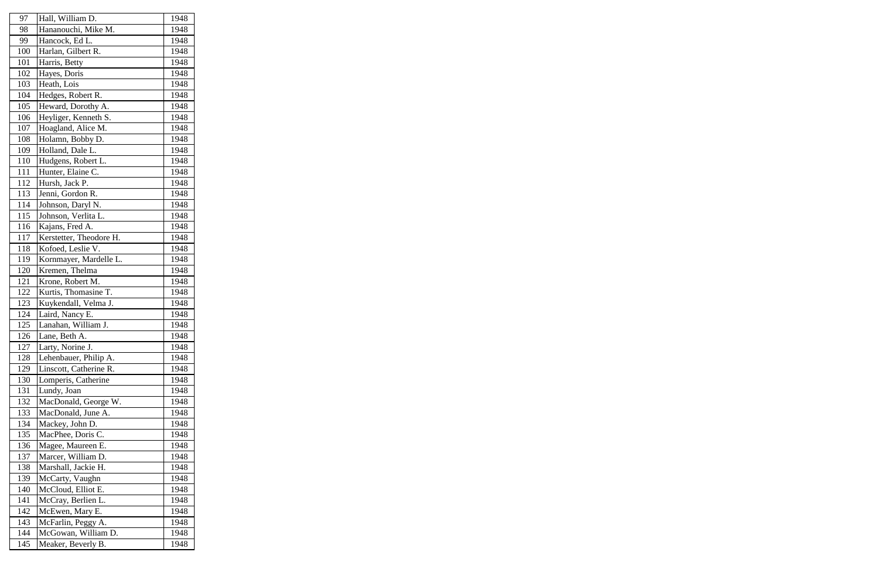| 97  | Hall, William D.        | 1948 |
|-----|-------------------------|------|
| 98  | Hananouchi, Mike M.     | 1948 |
| 99  | Hancock, Ed L.          | 1948 |
| 100 | Harlan, Gilbert R.      | 1948 |
| 101 | Harris, Betty           | 1948 |
| 102 | Hayes, Doris            | 1948 |
| 103 | Heath, Lois             | 1948 |
| 104 | Hedges, Robert R.       | 1948 |
| 105 | Heward, Dorothy A.      | 1948 |
| 106 | Heyliger, Kenneth S.    | 1948 |
| 107 | Hoagland, Alice M.      | 1948 |
| 108 | Holamn, Bobby D.        | 1948 |
| 109 | Holland, Dale L.        | 1948 |
| 110 | Hudgens, Robert L.      | 1948 |
| 111 | Hunter, Elaine C.       | 1948 |
| 112 | Hursh, Jack P.          | 1948 |
| 113 | Jenni, Gordon R.        | 1948 |
| 114 | Johnson, Daryl N.       | 1948 |
| 115 | Johnson, Verlita L.     | 1948 |
| 116 | Kajans, Fred A.         | 1948 |
| 117 | Kerstetter, Theodore H. | 1948 |
| 118 | Kofoed, Leslie V.       | 1948 |
| 119 | Kornmayer, Mardelle L.  | 1948 |
| 120 | Kremen, Thelma          | 1948 |
| 121 | Krone, Robert M.        | 1948 |
| 122 | Kurtis, Thomasine T.    | 1948 |
| 123 | Kuykendall, Velma J.    | 1948 |
| 124 | Laird, Nancy E.         | 1948 |
| 125 | Lanahan, William J.     | 1948 |
| 126 | Lane, Beth A.           | 1948 |
| 127 | Larty, Norine J.        | 1948 |
| 128 | Lehenbauer, Philip A.   | 1948 |
| 129 | Linscott, Catherine R.  | 1948 |
| 130 | Lomperis, Catherine     | 1948 |
| 131 | Lundy, Joan             | 1948 |
| 132 | MacDonald, George W.    | 1948 |
| 133 | MacDonald, June A.      | 1948 |
| 134 | Mackey, John D.         | 1948 |
| 135 | MacPhee, Doris C.       | 1948 |
| 136 | Magee, Maureen E.       | 1948 |
| 137 | Marcer, William D.      | 1948 |
| 138 | Marshall, Jackie H.     | 1948 |
| 139 | McCarty, Vaughn         | 1948 |
| 140 | McCloud, Elliot E.      | 1948 |
| 141 | McCray, Berlien L.      | 1948 |
| 142 | McEwen, Mary E.         | 1948 |
| 143 | McFarlin, Peggy A.      | 1948 |
| 144 | McGowan, William D.     | 1948 |
| 145 | Meaker, Beverly B.      | 1948 |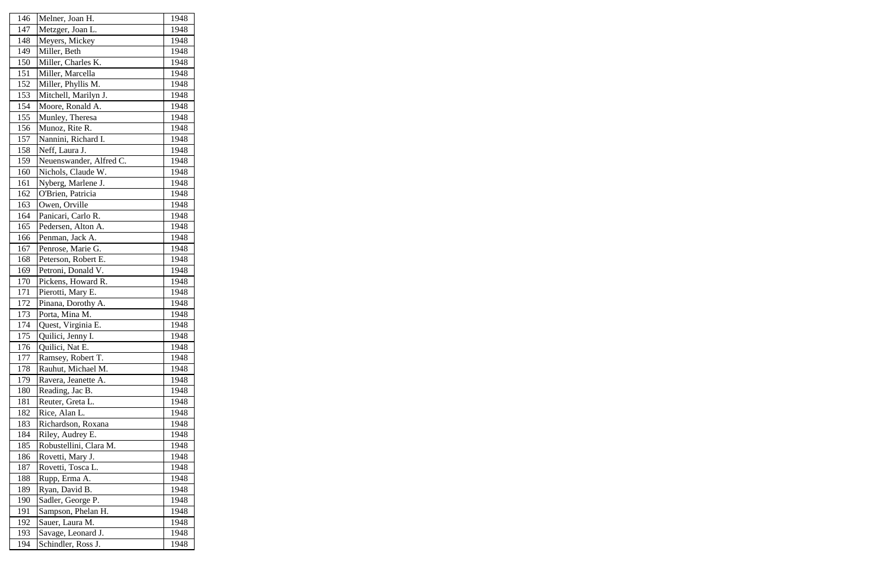| 146 | Melner, Joan H.         | 1948 |
|-----|-------------------------|------|
| 147 | Metzger, Joan L.        | 1948 |
| 148 | Meyers, Mickey          | 1948 |
| 149 | Miller, Beth            | 1948 |
| 150 | Miller, Charles K.      | 1948 |
| 151 | Miller, Marcella        | 1948 |
| 152 | Miller, Phyllis M.      | 1948 |
| 153 | Mitchell, Marilyn J.    | 1948 |
| 154 | Moore, Ronald A.        | 1948 |
| 155 | Munley, Theresa         | 1948 |
| 156 | Munoz, Rite R.          | 1948 |
| 157 | Nannini, Richard I.     | 1948 |
| 158 | Neff, Laura J.          | 1948 |
| 159 | Neuenswander, Alfred C. | 1948 |
| 160 | Nichols, Claude W.      | 1948 |
| 161 | Nyberg, Marlene J.      | 1948 |
| 162 | O'Brien, Patricia       | 1948 |
| 163 | Owen, Orville           | 1948 |
| 164 | Panicari, Carlo R.      | 1948 |
| 165 | Pedersen, Alton A.      | 1948 |
| 166 | Penman, Jack A.         | 1948 |
| 167 | Penrose, Marie G.       | 1948 |
| 168 | Peterson, Robert E.     | 1948 |
| 169 | Petroni, Donald V.      | 1948 |
| 170 | Pickens, Howard R.      | 1948 |
| 171 | Pierotti, Mary E.       | 1948 |
| 172 | Pinana, Dorothy A.      | 1948 |
| 173 | Porta, Mina M.          | 1948 |
| 174 | Quest, Virginia E.      | 1948 |
| 175 | Quilici, Jenny I.       | 1948 |
| 176 | Quilici, Nat E.         | 1948 |
| 177 | Ramsey, Robert T.       | 1948 |
| 178 | Rauhut, Michael M.      | 1948 |
| 179 | Ravera, Jeanette A.     | 1948 |
| 180 | Reading, Jac B.         | 1948 |
| 181 | Reuter, Greta L.        | 1948 |
| 182 | Rice, Alan L.           | 1948 |
| 183 | Richardson, Roxana      | 1948 |
| 184 | Riley, Audrey E.        | 1948 |
| 185 | Robustellini, Clara M.  | 1948 |
| 186 | Rovetti, Mary J.        | 1948 |
| 187 | Rovetti, Tosca L.       | 1948 |
| 188 | Rupp, Erma A.           | 1948 |
| 189 | Ryan, David B.          | 1948 |
| 190 | Sadler, George P.       | 1948 |
| 191 | Sampson, Phelan H.      | 1948 |
| 192 | Sauer, Laura M.         | 1948 |
| 193 | Savage, Leonard J.      | 1948 |
| 194 | Schindler, Ross J.      | 1948 |